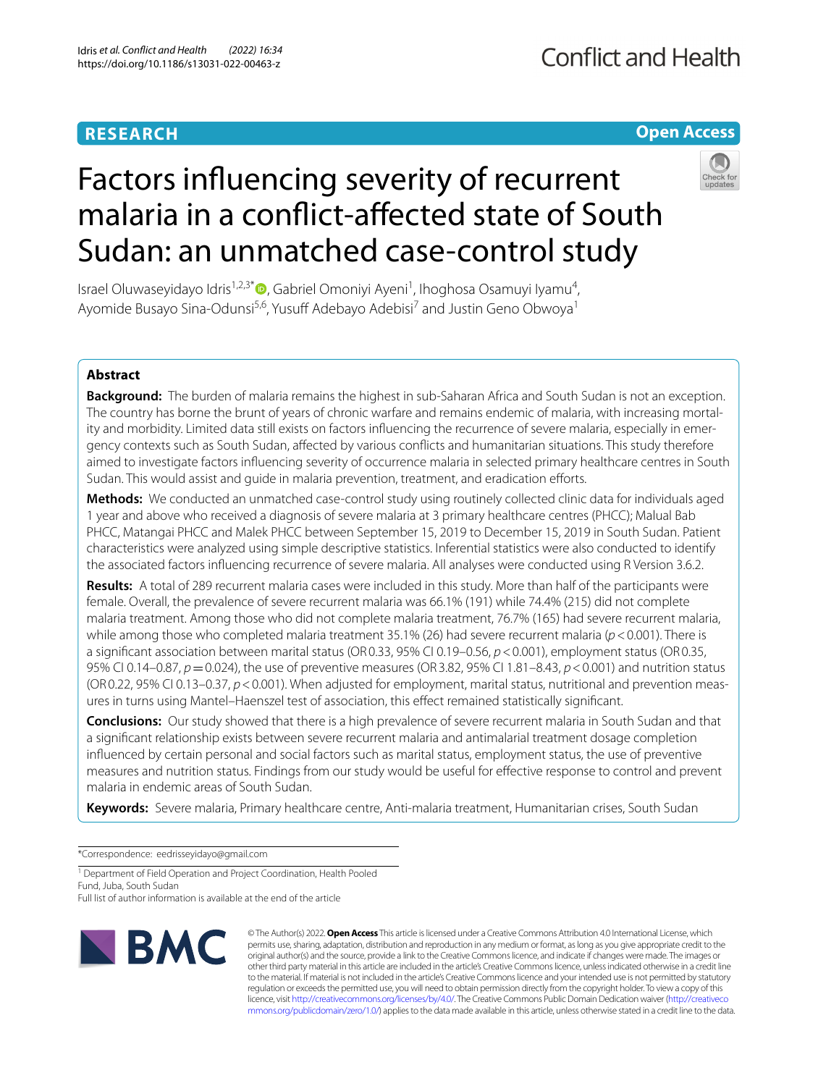# **RESEARCH**

# **Open Access**



# Factors infuencing severity of recurrent malaria in a confict-afected state of South Sudan: an unmatched case-control study

Israel Oluwaseyidayo Idris<sup>1,2,3[\\*](http://orcid.org/0000-0003-0920-0490)</sup> $\bullet$ , Gabriel Omoniyi Ayeni<sup>1</sup>, Ihoghosa Osamuyi Iyamu<sup>4</sup>, Ayomide Busayo Sina-Odunsi<sup>5,6</sup>, Yusuff Adebayo Adebisi<sup>7</sup> and Justin Geno Obwoya<sup>1</sup>

**Abstract**

**Background:** The burden of malaria remains the highest in sub-Saharan Africa and South Sudan is not an exception. The country has borne the brunt of years of chronic warfare and remains endemic of malaria, with increasing mortal‑ ity and morbidity. Limited data still exists on factors influencing the recurrence of severe malaria, especially in emergency contexts such as South Sudan, afected by various conficts and humanitarian situations. This study therefore aimed to investigate factors infuencing severity of occurrence malaria in selected primary healthcare centres in South Sudan. This would assist and quide in malaria prevention, treatment, and eradication efforts.

**Methods:** We conducted an unmatched case-control study using routinely collected clinic data for individuals aged 1 year and above who received a diagnosis of severe malaria at 3 primary healthcare centres (PHCC); Malual Bab PHCC, Matangai PHCC and Malek PHCC between September 15, 2019 to December 15, 2019 in South Sudan. Patient characteristics were analyzed using simple descriptive statistics. Inferential statistics were also conducted to identify the associated factors infuencing recurrence of severe malaria. All analyses were conducted using R Version 3.6.2.

**Results:** A total of 289 recurrent malaria cases were included in this study. More than half of the participants were female. Overall, the prevalence of severe recurrent malaria was 66.1% (191) while 74.4% (215) did not complete malaria treatment. Among those who did not complete malaria treatment, 76.7% (165) had severe recurrent malaria, while among those who completed malaria treatment 35.1% (26) had severe recurrent malaria (*p*<0.001). There is a signifcant association between marital status (OR0.33, 95% CI 0.19–0.56, *p*<0.001), employment status (OR0.35, 95% CI 0.14–0.87, *p*=0.024), the use of preventive measures (OR3.82, 95% CI 1.81–8.43, *p*<0.001) and nutrition status (OR0.22, 95% CI 0.13–0.37, *p*<0.001). When adjusted for employment, marital status, nutritional and prevention meas‑ ures in turns using Mantel–Haenszel test of association, this efect remained statistically signifcant.

**Conclusions:** Our study showed that there is a high prevalence of severe recurrent malaria in South Sudan and that a signifcant relationship exists between severe recurrent malaria and antimalarial treatment dosage completion infuenced by certain personal and social factors such as marital status, employment status, the use of preventive measures and nutrition status. Findings from our study would be useful for efective response to control and prevent malaria in endemic areas of South Sudan.

**Keywords:** Severe malaria, Primary healthcare centre, Anti-malaria treatment, Humanitarian crises, South Sudan

\*Correspondence: eedrisseyidayo@gmail.com

<sup>1</sup> Department of Field Operation and Project Coordination, Health Pooled Fund, Juba, South Sudan

Full list of author information is available at the end of the article



© The Author(s) 2022. **Open Access** This article is licensed under a Creative Commons Attribution 4.0 International License, which permits use, sharing, adaptation, distribution and reproduction in any medium or format, as long as you give appropriate credit to the original author(s) and the source, provide a link to the Creative Commons licence, and indicate if changes were made. The images or other third party material in this article are included in the article's Creative Commons licence, unless indicated otherwise in a credit line to the material. If material is not included in the article's Creative Commons licence and your intended use is not permitted by statutory regulation or exceeds the permitted use, you will need to obtain permission directly from the copyright holder. To view a copy of this licence, visit [http://creativecommons.org/licenses/by/4.0/.](http://creativecommons.org/licenses/by/4.0/) The Creative Commons Public Domain Dedication waiver ([http://creativeco](http://creativecommons.org/publicdomain/zero/1.0/) [mmons.org/publicdomain/zero/1.0/](http://creativecommons.org/publicdomain/zero/1.0/)) applies to the data made available in this article, unless otherwise stated in a credit line to the data.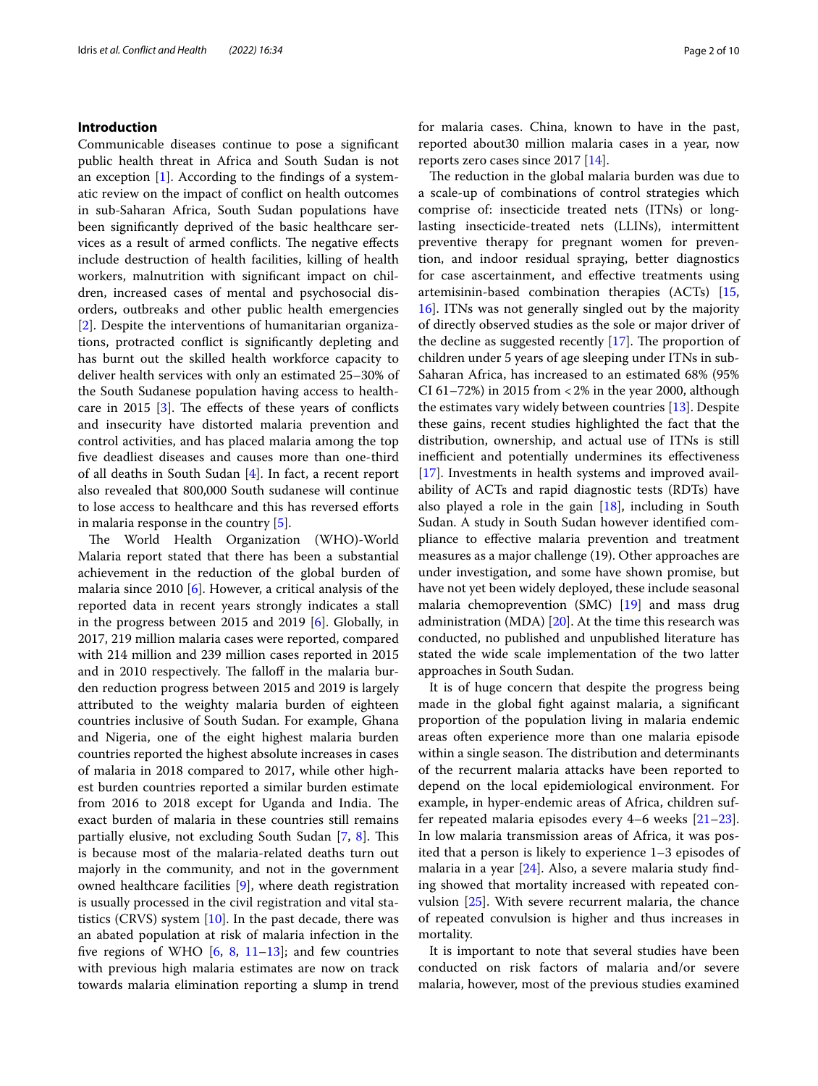# **Introduction**

Communicable diseases continue to pose a signifcant public health threat in Africa and South Sudan is not an exception [\[1\]](#page-7-0). According to the fndings of a systematic review on the impact of confict on health outcomes in sub-Saharan Africa, South Sudan populations have been signifcantly deprived of the basic healthcare services as a result of armed conflicts. The negative effects include destruction of health facilities, killing of health workers, malnutrition with signifcant impact on children, increased cases of mental and psychosocial disorders, outbreaks and other public health emergencies [[2\]](#page-7-1). Despite the interventions of humanitarian organizations, protracted confict is signifcantly depleting and has burnt out the skilled health workforce capacity to deliver health services with only an estimated 25–30% of the South Sudanese population having access to healthcare in 2015  $[3]$  $[3]$ . The effects of these years of conflicts and insecurity have distorted malaria prevention and control activities, and has placed malaria among the top fve deadliest diseases and causes more than one-third of all deaths in South Sudan [\[4](#page-7-3)]. In fact, a recent report also revealed that 800,000 South sudanese will continue to lose access to healthcare and this has reversed eforts in malaria response in the country [[5\]](#page-7-4).

The World Health Organization (WHO)-World Malaria report stated that there has been a substantial achievement in the reduction of the global burden of malaria since 2010 [\[6](#page-7-5)]. However, a critical analysis of the reported data in recent years strongly indicates a stall in the progress between 2015 and 2019 [\[6](#page-7-5)]. Globally, in 2017, 219 million malaria cases were reported, compared with 214 million and 239 million cases reported in 2015 and in 2010 respectively. The falloff in the malaria burden reduction progress between 2015 and 2019 is largely attributed to the weighty malaria burden of eighteen countries inclusive of South Sudan. For example, Ghana and Nigeria, one of the eight highest malaria burden countries reported the highest absolute increases in cases of malaria in 2018 compared to 2017, while other highest burden countries reported a similar burden estimate from 2016 to 2018 except for Uganda and India. The exact burden of malaria in these countries still remains partially elusive, not excluding South Sudan [\[7](#page-8-0), [8](#page-8-1)]. This is because most of the malaria-related deaths turn out majorly in the community, and not in the government owned healthcare facilities [[9\]](#page-8-2), where death registration is usually processed in the civil registration and vital statistics (CRVS) system  $[10]$  $[10]$ . In the past decade, there was an abated population at risk of malaria infection in the five regions of WHO  $[6, 8, 11-13]$  $[6, 8, 11-13]$  $[6, 8, 11-13]$  $[6, 8, 11-13]$  $[6, 8, 11-13]$  $[6, 8, 11-13]$ ; and few countries with previous high malaria estimates are now on track towards malaria elimination reporting a slump in trend for malaria cases. China, known to have in the past, reported about30 million malaria cases in a year, now reports zero cases since 2017 [[14](#page-8-6)].

The reduction in the global malaria burden was due to a scale-up of combinations of control strategies which comprise of: insecticide treated nets (ITNs) or longlasting insecticide-treated nets (LLINs), intermittent preventive therapy for pregnant women for prevention, and indoor residual spraying, better diagnostics for case ascertainment, and efective treatments using artemisinin-based combination therapies (ACTs) [[15](#page-8-7), [16\]](#page-8-8). ITNs was not generally singled out by the majority of directly observed studies as the sole or major driver of the decline as suggested recently  $[17]$ . The proportion of children under 5 years of age sleeping under ITNs in sub-Saharan Africa, has increased to an estimated 68% (95% CI 61–72%) in 2015 from <2% in the year 2000, although the estimates vary widely between countries [[13\]](#page-8-5). Despite these gains, recent studies highlighted the fact that the distribution, ownership, and actual use of ITNs is still inefficient and potentially undermines its effectiveness [[17\]](#page-8-9). Investments in health systems and improved availability of ACTs and rapid diagnostic tests (RDTs) have also played a role in the gain  $[18]$  $[18]$  $[18]$ , including in South Sudan. A study in South Sudan however identifed compliance to efective malaria prevention and treatment measures as a major challenge (19). Other approaches are under investigation, and some have shown promise, but have not yet been widely deployed, these include seasonal malaria chemoprevention (SMC) [\[19](#page-8-11)] and mass drug administration (MDA) [[20](#page-8-12)]. At the time this research was conducted, no published and unpublished literature has stated the wide scale implementation of the two latter approaches in South Sudan.

It is of huge concern that despite the progress being made in the global fght against malaria, a signifcant proportion of the population living in malaria endemic areas often experience more than one malaria episode within a single season. The distribution and determinants of the recurrent malaria attacks have been reported to depend on the local epidemiological environment. For example, in hyper-endemic areas of Africa, children suffer repeated malaria episodes every 4–6 weeks [[21](#page-8-13)[–23](#page-8-14)]. In low malaria transmission areas of Africa, it was posited that a person is likely to experience 1–3 episodes of malaria in a year [\[24\]](#page-8-15). Also, a severe malaria study fnding showed that mortality increased with repeated convulsion [\[25](#page-8-16)]. With severe recurrent malaria, the chance of repeated convulsion is higher and thus increases in mortality.

It is important to note that several studies have been conducted on risk factors of malaria and/or severe malaria, however, most of the previous studies examined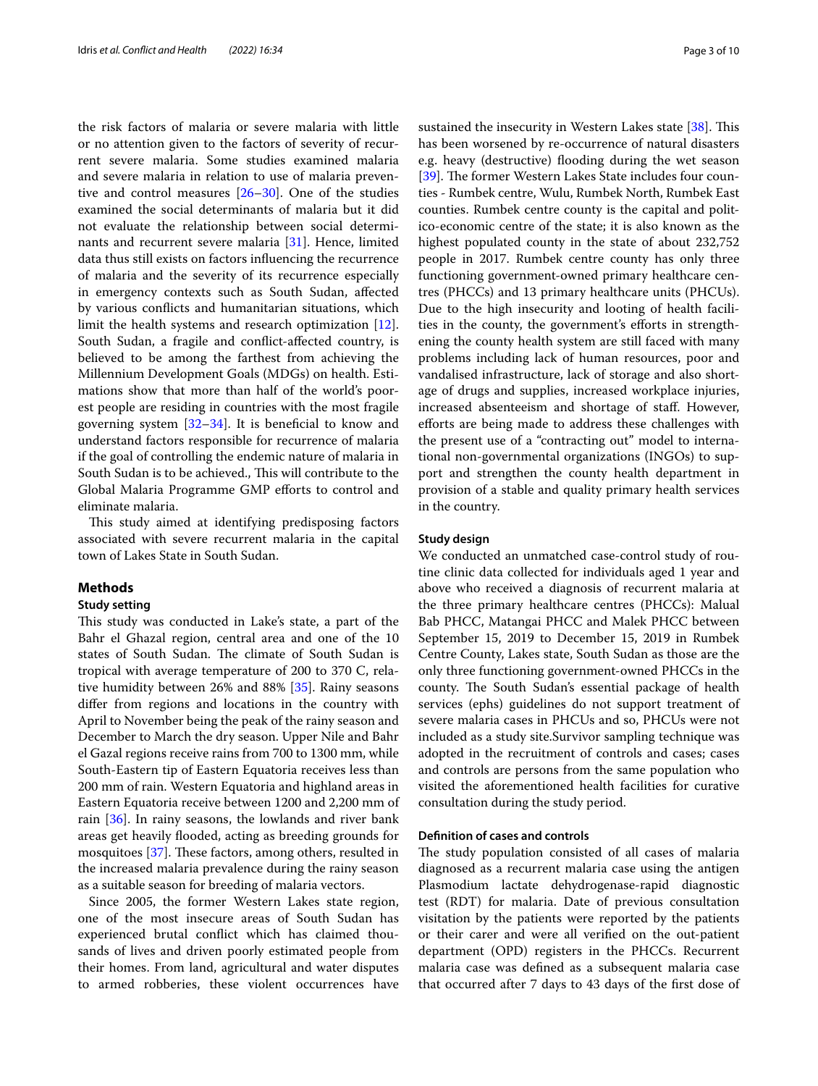the risk factors of malaria or severe malaria with little or no attention given to the factors of severity of recurrent severe malaria. Some studies examined malaria and severe malaria in relation to use of malaria preventive and control measures [\[26–](#page-8-17)[30\]](#page-8-18). One of the studies examined the social determinants of malaria but it did not evaluate the relationship between social determinants and recurrent severe malaria [[31](#page-8-19)]. Hence, limited data thus still exists on factors infuencing the recurrence of malaria and the severity of its recurrence especially in emergency contexts such as South Sudan, afected by various conficts and humanitarian situations, which limit the health systems and research optimization [\[12](#page-8-20)]. South Sudan, a fragile and confict-afected country, is believed to be among the farthest from achieving the Millennium Development Goals (MDGs) on health. Estimations show that more than half of the world's poorest people are residing in countries with the most fragile governing system  $[32-34]$  $[32-34]$ . It is beneficial to know and understand factors responsible for recurrence of malaria if the goal of controlling the endemic nature of malaria in South Sudan is to be achieved., This will contribute to the Global Malaria Programme GMP eforts to control and eliminate malaria.

This study aimed at identifying predisposing factors associated with severe recurrent malaria in the capital town of Lakes State in South Sudan.

# **Methods**

# **Study setting**

This study was conducted in Lake's state, a part of the Bahr el Ghazal region, central area and one of the 10 states of South Sudan. The climate of South Sudan is tropical with average temperature of 200 to 370 C, relative humidity between 26% and 88% [\[35](#page-8-23)]. Rainy seasons difer from regions and locations in the country with April to November being the peak of the rainy season and December to March the dry season. Upper Nile and Bahr el Gazal regions receive rains from 700 to 1300 mm, while South-Eastern tip of Eastern Equatoria receives less than 200 mm of rain. Western Equatoria and highland areas in Eastern Equatoria receive between 1200 and 2,200 mm of rain [[36\]](#page-8-24). In rainy seasons, the lowlands and river bank areas get heavily fooded, acting as breeding grounds for mosquitoes  $[37]$  $[37]$  $[37]$ . These factors, among others, resulted in the increased malaria prevalence during the rainy season as a suitable season for breeding of malaria vectors.

Since 2005, the former Western Lakes state region, one of the most insecure areas of South Sudan has experienced brutal confict which has claimed thousands of lives and driven poorly estimated people from their homes. From land, agricultural and water disputes to armed robberies, these violent occurrences have

sustained the insecurity in Western Lakes state  $[38]$  $[38]$ . This has been worsened by re-occurrence of natural disasters e.g. heavy (destructive) flooding during the wet season [[39\]](#page-8-27). The former Western Lakes State includes four counties - Rumbek centre, Wulu, Rumbek North, Rumbek East counties. Rumbek centre county is the capital and politico-economic centre of the state; it is also known as the highest populated county in the state of about 232,752 people in 2017. Rumbek centre county has only three functioning government-owned primary healthcare centres (PHCCs) and 13 primary healthcare units (PHCUs). Due to the high insecurity and looting of health facilities in the county, the government's eforts in strengthening the county health system are still faced with many problems including lack of human resources, poor and vandalised infrastructure, lack of storage and also shortage of drugs and supplies, increased workplace injuries, increased absenteeism and shortage of staf. However, efforts are being made to address these challenges with the present use of a "contracting out" model to international non-governmental organizations (INGOs) to support and strengthen the county health department in provision of a stable and quality primary health services in the country.

# **Study design**

We conducted an unmatched case-control study of routine clinic data collected for individuals aged 1 year and above who received a diagnosis of recurrent malaria at the three primary healthcare centres (PHCCs): Malual Bab PHCC, Matangai PHCC and Malek PHCC between September 15, 2019 to December 15, 2019 in Rumbek Centre County, Lakes state, South Sudan as those are the only three functioning government-owned PHCCs in the county. The South Sudan's essential package of health services (ephs) guidelines do not support treatment of severe malaria cases in PHCUs and so, PHCUs were not included as a study site.Survivor sampling technique was adopted in the recruitment of controls and cases; cases and controls are persons from the same population who visited the aforementioned health facilities for curative consultation during the study period.

# **Defnition of cases and controls**

The study population consisted of all cases of malaria diagnosed as a recurrent malaria case using the antigen Plasmodium lactate dehydrogenase-rapid diagnostic test (RDT) for malaria. Date of previous consultation visitation by the patients were reported by the patients or their carer and were all verifed on the out-patient department (OPD) registers in the PHCCs. Recurrent malaria case was defned as a subsequent malaria case that occurred after 7 days to 43 days of the frst dose of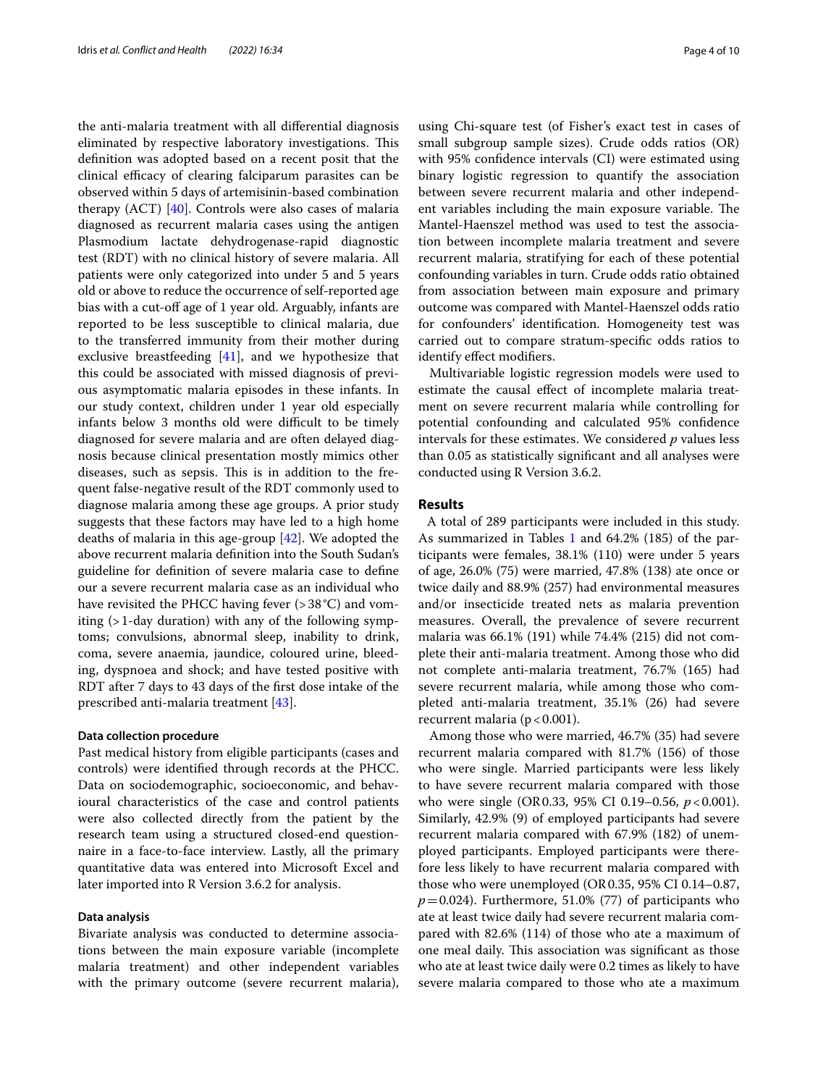the anti-malaria treatment with all diferential diagnosis eliminated by respective laboratory investigations. This defnition was adopted based on a recent posit that the clinical efficacy of clearing falciparum parasites can be observed within 5 days of artemisinin-based combination therapy (ACT) [\[40](#page-8-28)]. Controls were also cases of malaria diagnosed as recurrent malaria cases using the antigen Plasmodium lactate dehydrogenase-rapid diagnostic test (RDT) with no clinical history of severe malaria. All patients were only categorized into under 5 and 5 years old or above to reduce the occurrence of self-reported age bias with a cut-off age of 1 year old. Arguably, infants are reported to be less susceptible to clinical malaria, due to the transferred immunity from their mother during exclusive breastfeeding [\[41](#page-8-29)], and we hypothesize that this could be associated with missed diagnosis of previous asymptomatic malaria episodes in these infants. In our study context, children under 1 year old especially infants below 3 months old were difficult to be timely diagnosed for severe malaria and are often delayed diagnosis because clinical presentation mostly mimics other diseases, such as sepsis. This is in addition to the frequent false-negative result of the RDT commonly used to diagnose malaria among these age groups. A prior study suggests that these factors may have led to a high home deaths of malaria in this age-group [[42\]](#page-8-30). We adopted the above recurrent malaria defnition into the South Sudan's guideline for defnition of severe malaria case to defne our a severe recurrent malaria case as an individual who have revisited the PHCC having fever (>38 °C) and vomiting (>1-day duration) with any of the following symptoms; convulsions, abnormal sleep, inability to drink, coma, severe anaemia, jaundice, coloured urine, bleeding, dyspnoea and shock; and have tested positive with RDT after 7 days to 43 days of the frst dose intake of the prescribed anti-malaria treatment [[43\]](#page-8-31).

## **Data collection procedure**

Past medical history from eligible participants (cases and controls) were identifed through records at the PHCC. Data on sociodemographic, socioeconomic, and behavioural characteristics of the case and control patients were also collected directly from the patient by the research team using a structured closed-end questionnaire in a face-to-face interview. Lastly, all the primary quantitative data was entered into Microsoft Excel and later imported into R Version 3.6.2 for analysis.

#### **Data analysis**

Bivariate analysis was conducted to determine associations between the main exposure variable (incomplete malaria treatment) and other independent variables with the primary outcome (severe recurrent malaria), using Chi-square test (of Fisher's exact test in cases of small subgroup sample sizes). Crude odds ratios (OR) with 95% confdence intervals (CI) were estimated using binary logistic regression to quantify the association between severe recurrent malaria and other independent variables including the main exposure variable. The Mantel-Haenszel method was used to test the association between incomplete malaria treatment and severe recurrent malaria, stratifying for each of these potential confounding variables in turn. Crude odds ratio obtained from association between main exposure and primary outcome was compared with Mantel-Haenszel odds ratio for confounders' identifcation. Homogeneity test was carried out to compare stratum-specifc odds ratios to identify efect modifers.

Multivariable logistic regression models were used to estimate the causal efect of incomplete malaria treatment on severe recurrent malaria while controlling for potential confounding and calculated 95% confdence intervals for these estimates. We considered *p* values less than 0.05 as statistically signifcant and all analyses were conducted using R Version 3.6.2.

## **Results**

 A total of 289 participants were included in this study. As summarized in Tables [1](#page-4-0) and 64.2% (185) of the participants were females, 38.1% (110) were under 5 years of age, 26.0% (75) were married, 47.8% (138) ate once or twice daily and 88.9% (257) had environmental measures and/or insecticide treated nets as malaria prevention measures. Overall, the prevalence of severe recurrent malaria was 66.1% (191) while 74.4% (215) did not complete their anti-malaria treatment. Among those who did not complete anti-malaria treatment, 76.7% (165) had severe recurrent malaria, while among those who completed anti-malaria treatment, 35.1% (26) had severe recurrent malaria ( $p < 0.001$ ).

Among those who were married, 46.7% (35) had severe recurrent malaria compared with 81.7% (156) of those who were single. Married participants were less likely to have severe recurrent malaria compared with those who were single (OR0.33, 95% CI 0.19–0.56, *p*<0.001). Similarly, 42.9% (9) of employed participants had severe recurrent malaria compared with 67.9% (182) of unemployed participants. Employed participants were therefore less likely to have recurrent malaria compared with those who were unemployed (OR0.35, 95% CI 0.14–0.87,  $p=0.024$ ). Furthermore, 51.0% (77) of participants who ate at least twice daily had severe recurrent malaria compared with 82.6% (114) of those who ate a maximum of one meal daily. This association was significant as those who ate at least twice daily were 0.2 times as likely to have severe malaria compared to those who ate a maximum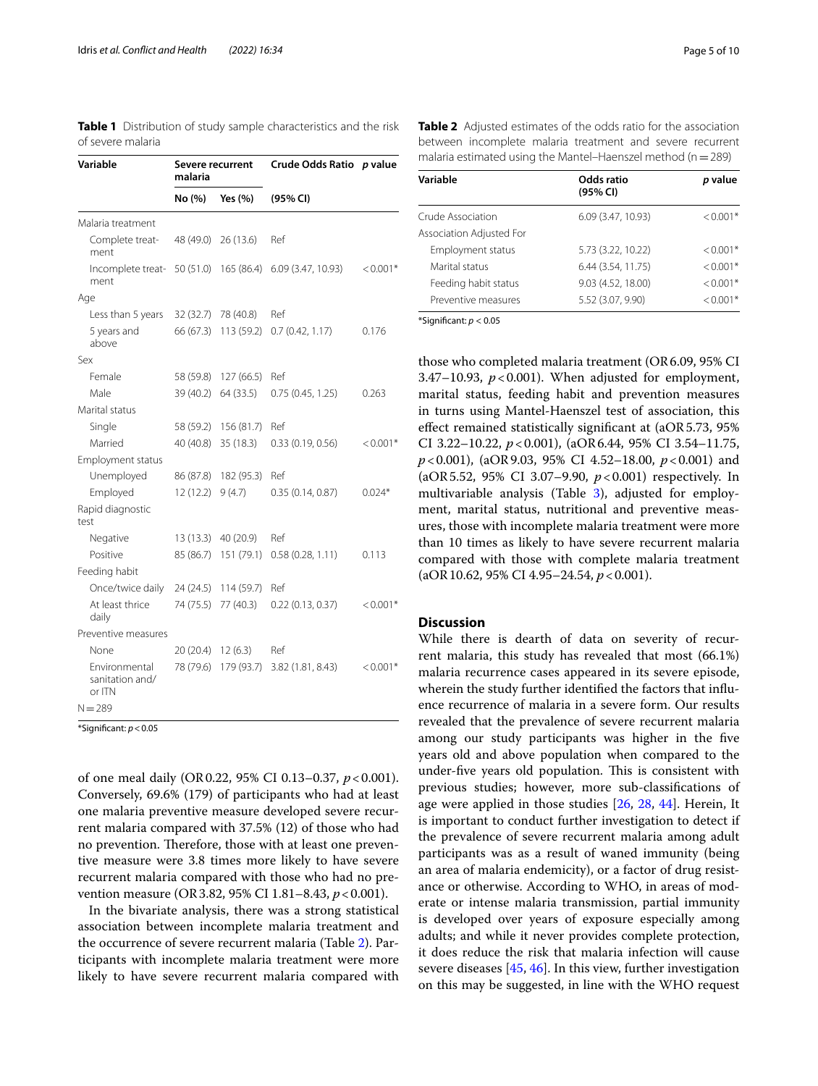<span id="page-4-0"></span>

|                   |  | <b>Table 1</b> Distribution of study sample characteristics and the risk |  |  |
|-------------------|--|--------------------------------------------------------------------------|--|--|
| of severe malaria |  |                                                                          |  |  |

| Variable                                   | Severe recurrent<br>malaria |            | <b>Crude Odds Ratio</b> | p value    |
|--------------------------------------------|-----------------------------|------------|-------------------------|------------|
|                                            | No (%)                      | Yes (%)    | (95% CI)                |            |
| Malaria treatment                          |                             |            |                         |            |
| Complete treat-<br>ment                    | 48 (49.0)                   | 26(13.6)   | Ref                     |            |
| Incomplete treat-<br>ment                  | 50 (51.0)                   | 165 (86.4) | 6.09 (3.47, 10.93)      | $< 0.001*$ |
| Age                                        |                             |            |                         |            |
| Less than 5 years                          | 32 (32.7)                   | 78 (40.8)  | Ref                     |            |
| 5 years and<br>above                       | 66 (67.3)                   | 113 (59.2) | 0.7(0.42, 1.17)         | 0.176      |
| Sex                                        |                             |            |                         |            |
| Female                                     | 58 (59.8)                   | 127(66.5)  | Ref                     |            |
| Male                                       | 39 (40.2)                   | 64(33.5)   | 0.75(0.45, 1.25)        | 0.263      |
| Marital status                             |                             |            |                         |            |
| Single                                     | 58 (59.2)                   | 156 (81.7) | Ref                     |            |
| Married                                    | 40 (40.8)                   | 35 (18.3)  | 0.33(0.19, 0.56)        | $< 0.001*$ |
| Employment status                          |                             |            |                         |            |
| Unemployed                                 | 86 (87.8)                   | 182 (95.3) | Ref                     |            |
| Employed                                   | 12(12.2)                    | 9(4.7)     | 0.35(0.14, 0.87)        | $0.024*$   |
| Rapid diagnostic<br>test                   |                             |            |                         |            |
| Negative                                   | 13 (13.3)                   | 40 (20.9)  | Ref                     |            |
| Positive                                   | 85 (86.7)                   | 151 (79.1) | 0.58(0.28, 1.11)        | 0.113      |
| Feeding habit                              |                             |            |                         |            |
| Once/twice daily                           | 24 (24.5)                   | 114 (59.7) | Ref                     |            |
| At least thrice<br>daily                   | 74 (75.5)                   | 77 (40.3)  | 0.22(0.13, 0.37)        | $< 0.001*$ |
| Preventive measures                        |                             |            |                         |            |
| None                                       | 20(20.4)                    | 12(6.3)    | Ref                     |            |
| Environmental<br>sanitation and/<br>or ITN | 78 (79.6)                   | 179 (93.7) | 3.82 (1.81, 8.43)       | $< 0.001*$ |
| $N = 289$                                  |                             |            |                         |            |

\*Signifcant: *p*<0.05

of one meal daily (OR0.22, 95% CI 0.13–0.37, *p*<0.001). Conversely, 69.6% (179) of participants who had at least one malaria preventive measure developed severe recurrent malaria compared with 37.5% (12) of those who had no prevention. Therefore, those with at least one preventive measure were 3.8 times more likely to have severe recurrent malaria compared with those who had no prevention measure (OR3.82, 95% CI 1.81–8.43, *p*<0.001).

In the bivariate analysis, there was a strong statistical association between incomplete malaria treatment and the occurrence of severe recurrent malaria (Table [2\)](#page-4-1). Participants with incomplete malaria treatment were more likely to have severe recurrent malaria compared with

<span id="page-4-1"></span>**Table 2** Adjusted estimates of the odds ratio for the association between incomplete malaria treatment and severe recurrent malaria estimated using the Mantel–Haenszel method ( $n=289$ )

| Variable                 | Odds ratio<br>(95% CI) | p value    |
|--------------------------|------------------------|------------|
| Crude Association        | 6.09 (3.47, 10.93)     | $< 0.001*$ |
| Association Adjusted For |                        |            |
| Employment status        | 5.73 (3.22, 10.22)     | $< 0.001*$ |
| Marital status           | 6.44 (3.54, 11.75)     | $< 0.001*$ |
| Feeding habit status     | 9.03 (4.52, 18.00)     | $< 0.001*$ |
| Preventive measures      | 5.52 (3.07, 9.90)      | $< 0.001*$ |

\*Signifcant: *p* < 0.05

those who completed malaria treatment (OR6.09, 95% CI 3.47–10.93,  $p < 0.001$ ). When adjusted for employment, marital status, feeding habit and prevention measures in turns using Mantel-Haenszel test of association, this efect remained statistically signifcant at (aOR5.73, 95% CI 3.22–10.22, *p*<0.001), (aOR6.44, 95% CI 3.54–11.75, *p*<0.001), (aOR9.03, 95% CI 4.52–18.00, *p*<0.001) and (aOR5.52, 95% CI 3.07–9.90, *p*<0.001) respectively. In multivariable analysis (Table [3](#page-5-0)), adjusted for employment, marital status, nutritional and preventive measures, those with incomplete malaria treatment were more than 10 times as likely to have severe recurrent malaria compared with those with complete malaria treatment (aOR10.62, 95% CI 4.95–24.54, *p*<0.001).

# **Discussion**

While there is dearth of data on severity of recurrent malaria, this study has revealed that most (66.1%) malaria recurrence cases appeared in its severe episode, wherein the study further identifed the factors that infuence recurrence of malaria in a severe form. Our results revealed that the prevalence of severe recurrent malaria among our study participants was higher in the fve years old and above population when compared to the under-five years old population. This is consistent with previous studies; however, more sub-classifcations of age were applied in those studies [\[26](#page-8-17), [28,](#page-8-32) [44\]](#page-8-33). Herein, It is important to conduct further investigation to detect if the prevalence of severe recurrent malaria among adult participants was as a result of waned immunity (being an area of malaria endemicity), or a factor of drug resistance or otherwise. According to WHO, in areas of moderate or intense malaria transmission, partial immunity is developed over years of exposure especially among adults; and while it never provides complete protection, it does reduce the risk that malaria infection will cause severe diseases [\[45](#page-8-34), [46\]](#page-8-35). In this view, further investigation on this may be suggested, in line with the WHO request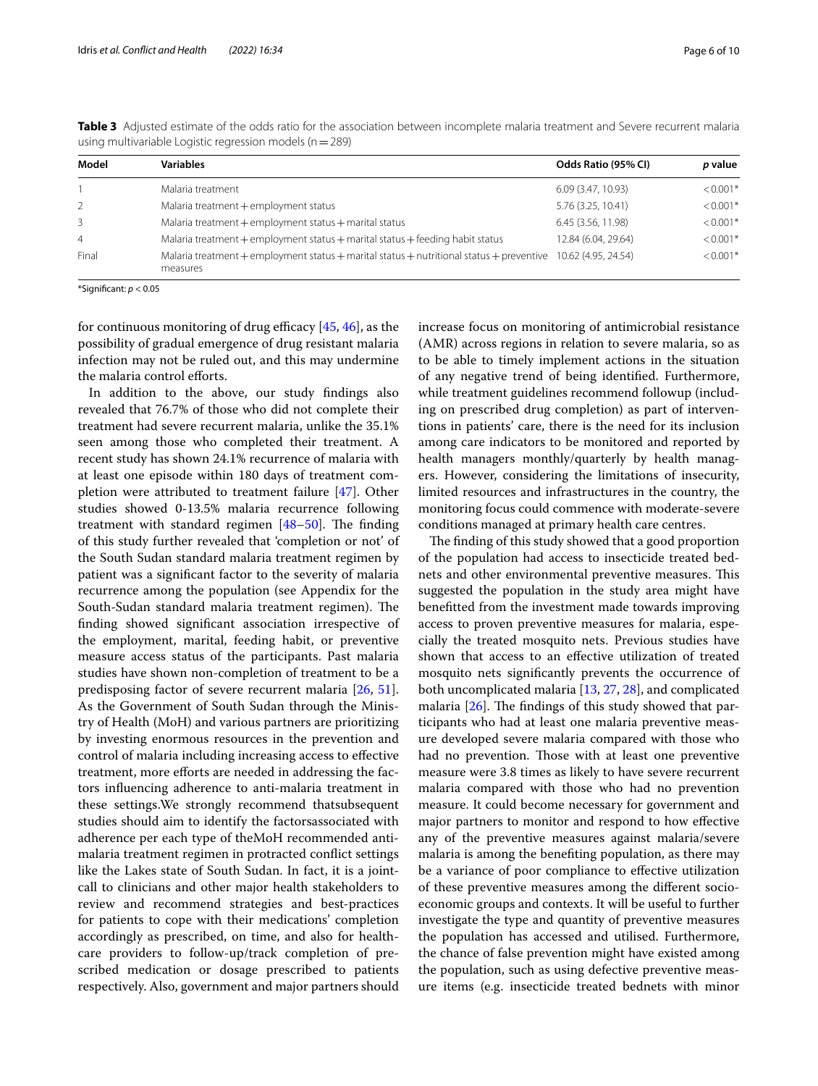| Model          | <b>Variables</b>                                                                                                         | Odds Ratio (95% CI) | p value    |
|----------------|--------------------------------------------------------------------------------------------------------------------------|---------------------|------------|
|                | Malaria treatment                                                                                                        | 6.09 (3.47, 10.93)  | $< 0.001*$ |
| 2              | Malaria treatment + employment status                                                                                    | 5.76 (3.25, 10.41)  | $< 0.001*$ |
| 3              | Malaria treatment + employment status + marital status                                                                   | 6.45 (3.56, 11.98)  | $< 0.001*$ |
| $\overline{4}$ | Malaria treatment + employment status + marital status + feeding habit status                                            | 12.84 (6.04, 29.64) | $< 0.001*$ |
| Final          | Malaria treatment + employment status + marital status + nutritional status + preventive 10.62 (4.95, 24.54)<br>measures |                     | $< 0.001*$ |

<span id="page-5-0"></span>**Table 3** Adjusted estimate of the odds ratio for the association between incomplete malaria treatment and Severe recurrent malaria using multivariable Logistic regression models (n=289)

\*Signifcant: *p* < 0.05

for continuous monitoring of drug efficacy  $[45, 46]$  $[45, 46]$  $[45, 46]$ , as the possibility of gradual emergence of drug resistant malaria infection may not be ruled out, and this may undermine the malaria control efforts.

In addition to the above, our study fndings also revealed that 76.7% of those who did not complete their treatment had severe recurrent malaria, unlike the 35.1% seen among those who completed their treatment. A recent study has shown 24.1% recurrence of malaria with at least one episode within 180 days of treatment completion were attributed to treatment failure [[47\]](#page-8-36). Other studies showed 0-13.5% malaria recurrence following treatment with standard regimen  $[48-50]$  $[48-50]$  $[48-50]$ . The finding of this study further revealed that 'completion or not' of the South Sudan standard malaria treatment regimen by patient was a signifcant factor to the severity of malaria recurrence among the population (see Appendix for the South-Sudan standard malaria treatment regimen). The fnding showed signifcant association irrespective of the employment, marital, feeding habit, or preventive measure access status of the participants. Past malaria studies have shown non-completion of treatment to be a predisposing factor of severe recurrent malaria [[26,](#page-8-17) [51](#page-9-2)]. As the Government of South Sudan through the Ministry of Health (MoH) and various partners are prioritizing by investing enormous resources in the prevention and control of malaria including increasing access to efective treatment, more eforts are needed in addressing the factors infuencing adherence to anti-malaria treatment in these settings.We strongly recommend thatsubsequent studies should aim to identify the factorsassociated with adherence per each type of theMoH recommended antimalaria treatment regimen in protracted confict settings like the Lakes state of South Sudan. In fact, it is a jointcall to clinicians and other major health stakeholders to review and recommend strategies and best-practices for patients to cope with their medications' completion accordingly as prescribed, on time, and also for healthcare providers to follow-up/track completion of prescribed medication or dosage prescribed to patients respectively. Also, government and major partners should increase focus on monitoring of antimicrobial resistance (AMR) across regions in relation to severe malaria, so as to be able to timely implement actions in the situation of any negative trend of being identifed. Furthermore, while treatment guidelines recommend followup (including on prescribed drug completion) as part of interventions in patients' care, there is the need for its inclusion among care indicators to be monitored and reported by health managers monthly/quarterly by health managers. However, considering the limitations of insecurity, limited resources and infrastructures in the country, the monitoring focus could commence with moderate-severe conditions managed at primary health care centres.

The finding of this study showed that a good proportion of the population had access to insecticide treated bednets and other environmental preventive measures. This suggested the population in the study area might have beneftted from the investment made towards improving access to proven preventive measures for malaria, especially the treated mosquito nets. Previous studies have shown that access to an efective utilization of treated mosquito nets signifcantly prevents the occurrence of both uncomplicated malaria [\[13,](#page-8-5) [27](#page-8-37), [28](#page-8-32)], and complicated malaria  $[26]$  $[26]$  $[26]$ . The findings of this study showed that participants who had at least one malaria preventive measure developed severe malaria compared with those who had no prevention. Those with at least one preventive measure were 3.8 times as likely to have severe recurrent malaria compared with those who had no prevention measure. It could become necessary for government and major partners to monitor and respond to how efective any of the preventive measures against malaria/severe malaria is among the benefting population, as there may be a variance of poor compliance to efective utilization of these preventive measures among the diferent socioeconomic groups and contexts. It will be useful to further investigate the type and quantity of preventive measures the population has accessed and utilised. Furthermore, the chance of false prevention might have existed among the population, such as using defective preventive measure items (e.g. insecticide treated bednets with minor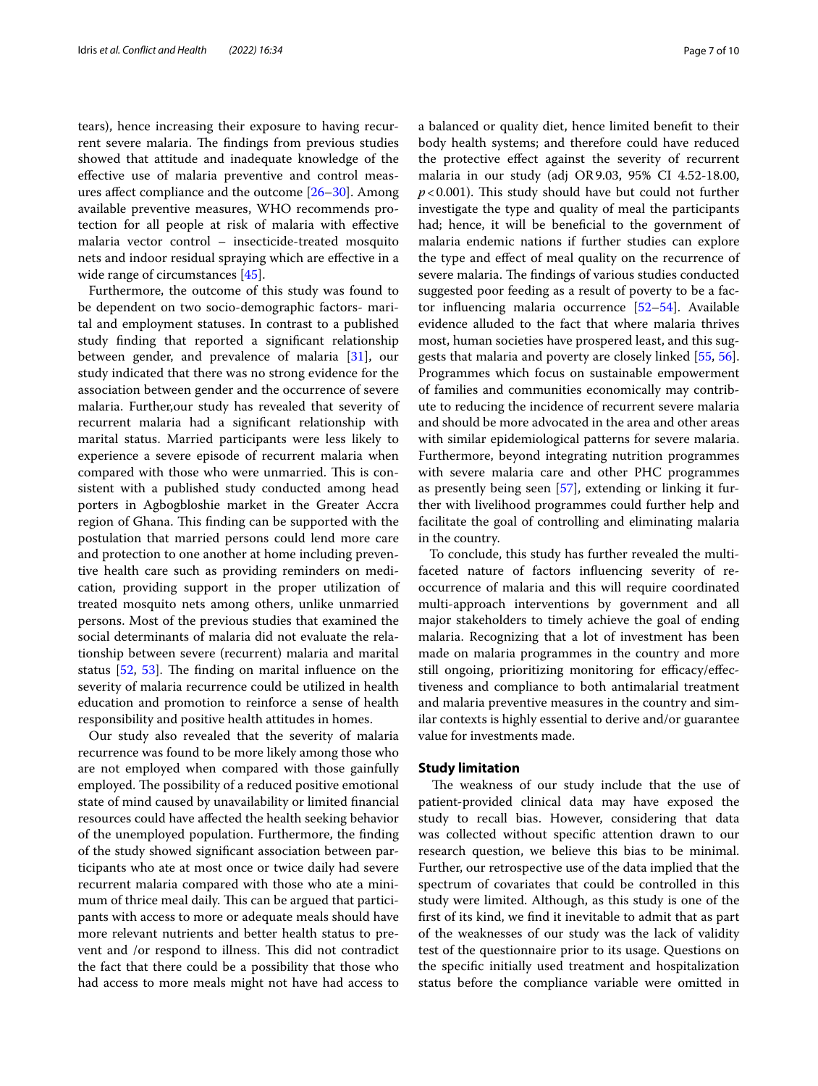tears), hence increasing their exposure to having recurrent severe malaria. The findings from previous studies showed that attitude and inadequate knowledge of the efective use of malaria preventive and control measures afect compliance and the outcome [\[26](#page-8-17)[–30](#page-8-18)]. Among available preventive measures, WHO recommends protection for all people at risk of malaria with efective malaria vector control – insecticide-treated mosquito nets and indoor residual spraying which are efective in a wide range of circumstances [[45\]](#page-8-34).

Furthermore, the outcome of this study was found to be dependent on two socio-demographic factors- marital and employment statuses. In contrast to a published study fnding that reported a signifcant relationship between gender, and prevalence of malaria [\[31](#page-8-19)], our study indicated that there was no strong evidence for the association between gender and the occurrence of severe malaria. Further,our study has revealed that severity of recurrent malaria had a signifcant relationship with marital status. Married participants were less likely to experience a severe episode of recurrent malaria when compared with those who were unmarried. This is consistent with a published study conducted among head porters in Agbogbloshie market in the Greater Accra region of Ghana. This finding can be supported with the postulation that married persons could lend more care and protection to one another at home including preventive health care such as providing reminders on medication, providing support in the proper utilization of treated mosquito nets among others, unlike unmarried persons. Most of the previous studies that examined the social determinants of malaria did not evaluate the relationship between severe (recurrent) malaria and marital status  $[52, 53]$  $[52, 53]$  $[52, 53]$  $[52, 53]$ . The finding on marital influence on the severity of malaria recurrence could be utilized in health education and promotion to reinforce a sense of health responsibility and positive health attitudes in homes.

Our study also revealed that the severity of malaria recurrence was found to be more likely among those who are not employed when compared with those gainfully employed. The possibility of a reduced positive emotional state of mind caused by unavailability or limited fnancial resources could have afected the health seeking behavior of the unemployed population. Furthermore, the fnding of the study showed signifcant association between participants who ate at most once or twice daily had severe recurrent malaria compared with those who ate a minimum of thrice meal daily. This can be argued that participants with access to more or adequate meals should have more relevant nutrients and better health status to prevent and /or respond to illness. This did not contradict the fact that there could be a possibility that those who had access to more meals might not have had access to a balanced or quality diet, hence limited beneft to their body health systems; and therefore could have reduced the protective efect against the severity of recurrent malaria in our study (adj OR9.03, 95% CI 4.52-18.00,  $p$ <0.001). This study should have but could not further investigate the type and quality of meal the participants had; hence, it will be beneficial to the government of malaria endemic nations if further studies can explore the type and efect of meal quality on the recurrence of severe malaria. The findings of various studies conducted suggested poor feeding as a result of poverty to be a factor infuencing malaria occurrence [[52](#page-9-3)[–54](#page-9-5)]. Available evidence alluded to the fact that where malaria thrives most, human societies have prospered least, and this suggests that malaria and poverty are closely linked [[55](#page-9-6), [56](#page-9-7)]. Programmes which focus on sustainable empowerment of families and communities economically may contribute to reducing the incidence of recurrent severe malaria and should be more advocated in the area and other areas with similar epidemiological patterns for severe malaria. Furthermore, beyond integrating nutrition programmes with severe malaria care and other PHC programmes as presently being seen [[57\]](#page-9-8), extending or linking it further with livelihood programmes could further help and facilitate the goal of controlling and eliminating malaria in the country.

To conclude, this study has further revealed the multifaceted nature of factors infuencing severity of reoccurrence of malaria and this will require coordinated multi-approach interventions by government and all major stakeholders to timely achieve the goal of ending malaria. Recognizing that a lot of investment has been made on malaria programmes in the country and more still ongoing, prioritizing monitoring for efficacy/effectiveness and compliance to both antimalarial treatment and malaria preventive measures in the country and similar contexts is highly essential to derive and/or guarantee value for investments made.

# **Study limitation**

The weakness of our study include that the use of patient-provided clinical data may have exposed the study to recall bias. However, considering that data was collected without specifc attention drawn to our research question, we believe this bias to be minimal. Further, our retrospective use of the data implied that the spectrum of covariates that could be controlled in this study were limited. Although, as this study is one of the frst of its kind, we fnd it inevitable to admit that as part of the weaknesses of our study was the lack of validity test of the questionnaire prior to its usage. Questions on the specifc initially used treatment and hospitalization status before the compliance variable were omitted in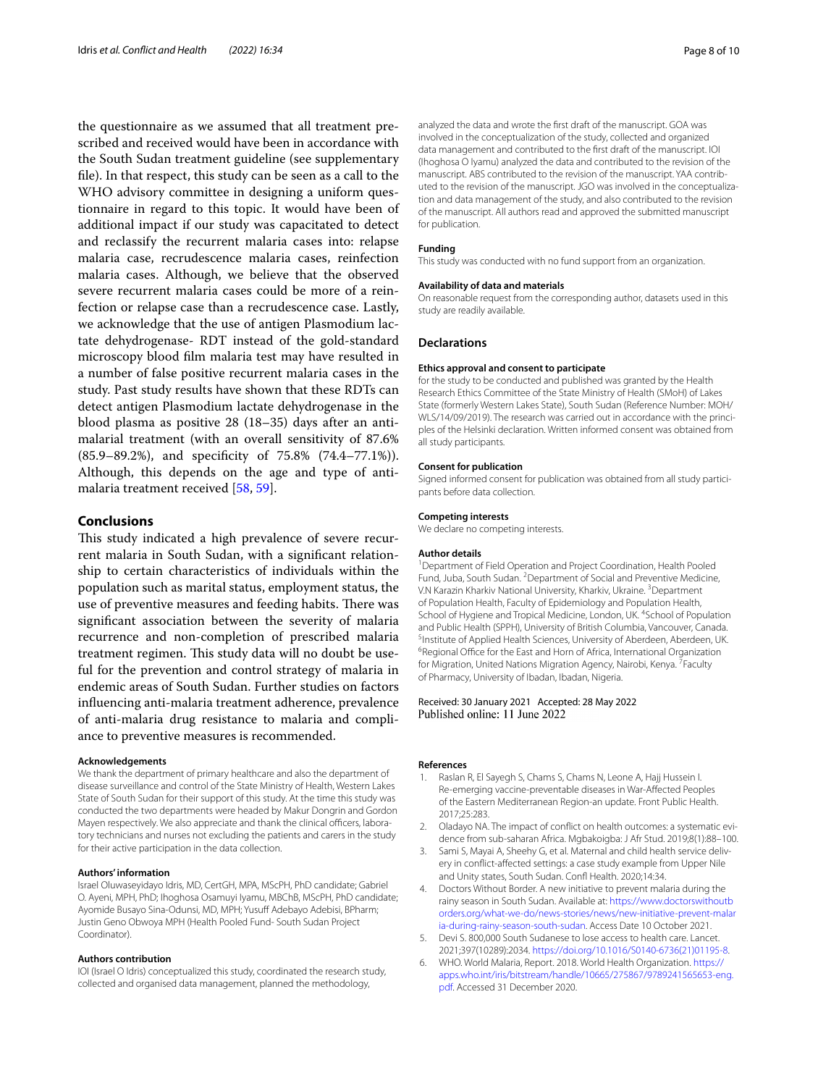the questionnaire as we assumed that all treatment prescribed and received would have been in accordance with the South Sudan treatment guideline (see supplementary fle). In that respect, this study can be seen as a call to the WHO advisory committee in designing a uniform questionnaire in regard to this topic. It would have been of additional impact if our study was capacitated to detect and reclassify the recurrent malaria cases into: relapse malaria case, recrudescence malaria cases, reinfection malaria cases. Although, we believe that the observed severe recurrent malaria cases could be more of a reinfection or relapse case than a recrudescence case. Lastly, we acknowledge that the use of antigen Plasmodium lactate dehydrogenase- RDT instead of the gold-standard microscopy blood flm malaria test may have resulted in a number of false positive recurrent malaria cases in the study. Past study results have shown that these RDTs can detect antigen Plasmodium lactate dehydrogenase in the blood plasma as positive 28 (18–35) days after an antimalarial treatment (with an overall sensitivity of 87.6% (85.9–89.2%), and specifcity of 75.8% (74.4–77.1%)). Although, this depends on the age and type of antimalaria treatment received [\[58,](#page-9-9) [59](#page-9-10)].

# **Conclusions**

This study indicated a high prevalence of severe recurrent malaria in South Sudan, with a signifcant relationship to certain characteristics of individuals within the population such as marital status, employment status, the use of preventive measures and feeding habits. There was signifcant association between the severity of malaria recurrence and non-completion of prescribed malaria treatment regimen. This study data will no doubt be useful for the prevention and control strategy of malaria in endemic areas of South Sudan. Further studies on factors infuencing anti-malaria treatment adherence, prevalence of anti-malaria drug resistance to malaria and compliance to preventive measures is recommended.

#### **Acknowledgements**

We thank the department of primary healthcare and also the department of disease surveillance and control of the State Ministry of Health, Western Lakes State of South Sudan for their support of this study. At the time this study was conducted the two departments were headed by Makur Dongrin and Gordon Mayen respectively. We also appreciate and thank the clinical officers, laboratory technicians and nurses not excluding the patients and carers in the study for their active participation in the data collection.

#### **Authors' information**

Israel Oluwaseyidayo Idris, MD, CertGH, MPA, MScPH, PhD candidate; Gabriel O. Ayeni, MPH, PhD; Ihoghosa Osamuyi Iyamu, MBChB, MScPH, PhD candidate; Ayomide Busayo Sina-Odunsi, MD, MPH; Yusuf Adebayo Adebisi, BPharm; Justin Geno Obwoya MPH (Health Pooled Fund- South Sudan Project Coordinator).

### **Authors contribution**

IOI (Israel O Idris) conceptualized this study, coordinated the research study, collected and organised data management, planned the methodology,

analyzed the data and wrote the frst draft of the manuscript. GOA was involved in the conceptualization of the study, collected and organized data management and contributed to the frst draft of the manuscript. IOI (Ihoghosa O Iyamu) analyzed the data and contributed to the revision of the manuscript. ABS contributed to the revision of the manuscript. YAA contributed to the revision of the manuscript. JGO was involved in the conceptualization and data management of the study, and also contributed to the revision of the manuscript. All authors read and approved the submitted manuscript for publication.

#### **Funding**

This study was conducted with no fund support from an organization.

#### **Availability of data and materials**

On reasonable request from the corresponding author, datasets used in this study are readily available.

#### **Declarations**

#### **Ethics approval and consent to participate**

for the study to be conducted and published was granted by the Health Research Ethics Committee of the State Ministry of Health (SMoH) of Lakes State (formerly Western Lakes State), South Sudan (Reference Number: MOH/ WLS/14/09/2019). The research was carried out in accordance with the principles of the Helsinki declaration. Written informed consent was obtained from all study participants.

#### **Consent for publication**

Signed informed consent for publication was obtained from all study participants before data collection.

## **Competing interests**

We declare no competing interests.

#### **Author details**

<sup>1</sup> Department of Field Operation and Project Coordination, Health Pooled Fund, Juba, South Sudan. <sup>2</sup> Department of Social and Preventive Medicine, V.N Karazin Kharkiv National University, Kharkiv, Ukraine.<sup>3</sup> Department of Population Health, Faculty of Epidemiology and Population Health, School of Hygiene and Tropical Medicine, London, UK. <sup>4</sup>School of Population and Public Health (SPPH), University of British Columbia, Vancouver, Canada. 5 <sup>5</sup>Institute of Applied Health Sciences, University of Aberdeen, Aberdeen, UK. <sup>6</sup> Regional Office for the East and Horn of Africa, International Organization for Migration, United Nations Migration Agency, Nairobi, Kenya. <sup>7</sup> Faculty of Pharmacy, University of Ibadan, Ibadan, Nigeria.

# Received: 30 January 2021 Accepted: 28 May 2022 Published online: 11 June 2022

#### **References**

- <span id="page-7-0"></span>Raslan R, El Sayegh S, Chams S, Chams N, Leone A, Hajj Hussein I. Re-emerging vaccine-preventable diseases in War-Afected Peoples of the Eastern Mediterranean Region-an update. Front Public Health. 2017;25:283.
- <span id="page-7-1"></span>2. Oladayo NA. The impact of conflict on health outcomes: a systematic evidence from sub-saharan Africa. Mgbakoigba: J Afr Stud. 2019;8(1):88–100.
- <span id="page-7-2"></span>3. Sami S, Mayai A, Sheehy G, et al. Maternal and child health service delivery in confict-afected settings: a case study example from Upper Nile and Unity states, South Sudan. Conf Health. 2020;14:34.
- <span id="page-7-3"></span>4. Doctors Without Border. A new initiative to prevent malaria during the rainy season in South Sudan. Available at: [https://www.doctorswithoutb](https://www.doctorswithoutborders.org/what-we-do/news-stories/news/new-initiative-prevent-malaria-during-rainy-season-south-sudan) [orders.org/what-we-do/news-stories/news/new-initiative-prevent-malar](https://www.doctorswithoutborders.org/what-we-do/news-stories/news/new-initiative-prevent-malaria-during-rainy-season-south-sudan) [ia-during-rainy-season-south-sudan](https://www.doctorswithoutborders.org/what-we-do/news-stories/news/new-initiative-prevent-malaria-during-rainy-season-south-sudan). Access Date 10 October 2021.
- <span id="page-7-4"></span>5. Devi S. 800,000 South Sudanese to lose access to health care. Lancet. 2021;397(10289):2034. [https://doi.org/10.1016/S0140-6736\(21\)01195-8](https://doi.org/10.1016/S0140-6736(21)01195-8).
- <span id="page-7-5"></span>6. WHO. World Malaria, Report. 2018. World Health Organization. [https://](https://apps.who.int/iris/bitstream/handle/10665/275867/9789241565653-eng.pdf) [apps.who.int/iris/bitstream/handle/10665/275867/9789241565653-eng.](https://apps.who.int/iris/bitstream/handle/10665/275867/9789241565653-eng.pdf) [pdf.](https://apps.who.int/iris/bitstream/handle/10665/275867/9789241565653-eng.pdf) Accessed 31 December 2020.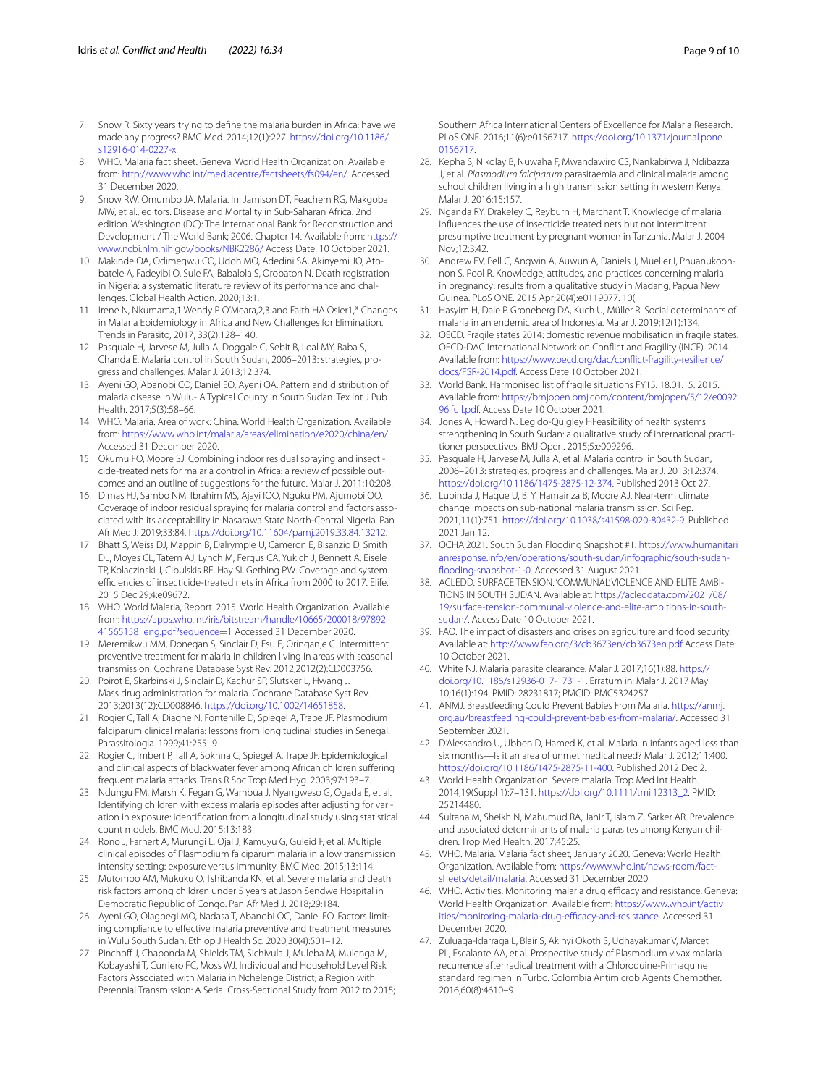- <span id="page-8-0"></span>7. Snow R. Sixty years trying to defne the malaria burden in Africa: have we made any progress? BMC Med. 2014;12(1):227. [https://doi.org/10.1186/](https://doi.org/10.1186/s12916-014-0227-x) [s12916-014-0227-x](https://doi.org/10.1186/s12916-014-0227-x).
- <span id="page-8-1"></span>8. WHO. Malaria fact sheet. Geneva: World Health Organization. Available from: [http://www.who.int/mediacentre/factsheets/fs094/en/.](http://www.who.int/mediacentre/factsheets/fs094/en/) Accessed 31 December 2020.
- <span id="page-8-2"></span>9. Snow RW, Omumbo JA. Malaria. In: Jamison DT, Feachem RG, Makgoba MW, et al., editors. Disease and Mortality in Sub-Saharan Africa. 2nd edition. Washington (DC): The International Bank for Reconstruction and Development / The World Bank; 2006. Chapter 14. Available from: [https://](https://www.ncbi.nlm.nih.gov/books/NBK2286/) [www.ncbi.nlm.nih.gov/books/NBK2286/](https://www.ncbi.nlm.nih.gov/books/NBK2286/) Access Date: 10 October 2021.
- <span id="page-8-3"></span>10. Makinde OA, Odimegwu CO, Udoh MO, Adedini SA, Akinyemi JO, Atobatele A, Fadeyibi O, Sule FA, Babalola S, Orobaton N. Death registration in Nigeria: a systematic literature review of its performance and challenges. Global Health Action. 2020;13:1.
- <span id="page-8-4"></span>11. Irene N, Nkumama,1 Wendy P O'Meara,2,3 and Faith HA Osier1,\* Changes in Malaria Epidemiology in Africa and New Challenges for Elimination. Trends in Parasito, 2017, 33(2):128–140.
- <span id="page-8-20"></span>12. Pasquale H, Jarvese M, Julla A, Doggale C, Sebit B, Loal MY, Baba S, Chanda E. Malaria control in South Sudan, 2006–2013: strategies, pro‑ gress and challenges. Malar J. 2013;12:374.
- <span id="page-8-5"></span>13. Ayeni GO, Abanobi CO, Daniel EO, Ayeni OA. Pattern and distribution of malaria disease in Wulu- A Typical County in South Sudan. Tex Int J Pub Health. 2017;5(3):58–66.
- <span id="page-8-6"></span>14. WHO. Malaria. Area of work: China. World Health Organization. Available from: [https://www.who.int/malaria/areas/elimination/e2020/china/en/.](https://www.who.int/malaria/areas/elimination/e2020/china/en/) Accessed 31 December 2020.
- <span id="page-8-7"></span>15. Okumu FO, Moore SJ. Combining indoor residual spraying and insecticide-treated nets for malaria control in Africa: a review of possible outcomes and an outline of suggestions for the future. Malar J. 2011;10:208.
- <span id="page-8-8"></span>16. Dimas HJ, Sambo NM, Ibrahim MS, Ajayi IOO, Nguku PM, Ajumobi OO. Coverage of indoor residual spraying for malaria control and factors associated with its acceptability in Nasarawa State North-Central Nigeria. Pan Afr Med J. 2019;33:84. [https://doi.org/10.11604/pamj.2019.33.84.13212.](https://doi.org/10.11604/pamj.2019.33.84.13212)
- <span id="page-8-9"></span>17. Bhatt S, Weiss DJ, Mappin B, Dalrymple U, Cameron E, Bisanzio D, Smith DL, Moyes CL, Tatem AJ, Lynch M, Fergus CA, Yukich J, Bennett A, Eisele TP, Kolaczinski J, Cibulskis RE, Hay SI, Gething PW. Coverage and system efficiencies of insecticide-treated nets in Africa from 2000 to 2017. Elife. 2015 Dec;29;4:e09672.
- <span id="page-8-10"></span>18. WHO. World Malaria, Report. 2015. World Health Organization. Available from: [https://apps.who.int/iris/bitstream/handle/10665/200018/97892](https://apps.who.int/iris/bitstream/handle/10665/200018/9789241565158_eng.pdf?sequence=1) [41565158\\_eng.pdf?sequence](https://apps.who.int/iris/bitstream/handle/10665/200018/9789241565158_eng.pdf?sequence=1)=1 Accessed 31 December 2020.
- <span id="page-8-11"></span>19. Meremikwu MM, Donegan S, Sinclair D, Esu E, Oringanje C. Intermittent preventive treatment for malaria in children living in areas with seasonal transmission. Cochrane Database Syst Rev. 2012;2012(2):CD003756.
- <span id="page-8-12"></span>20. Poirot E, Skarbinski J, Sinclair D, Kachur SP, Slutsker L, Hwang J. Mass drug administration for malaria. Cochrane Database Syst Rev. 2013;2013(12):CD008846. <https://doi.org/10.1002/14651858>.
- <span id="page-8-13"></span>21. Rogier C, Tall A, Diagne N, Fontenille D, Spiegel A, Trape JF. Plasmodium falciparum clinical malaria: lessons from longitudinal studies in Senegal. Parassitologia. 1999;41:255–9.
- 22. Rogier C, Imbert P, Tall A, Sokhna C, Spiegel A, Trape JF. Epidemiological and clinical aspects of blackwater fever among African children sufering frequent malaria attacks. Trans R Soc Trop Med Hyg. 2003;97:193–7.
- <span id="page-8-14"></span>23. Ndungu FM, Marsh K, Fegan G, Wambua J, Nyangweso G, Ogada E, et al. Identifying children with excess malaria episodes after adjusting for vari‑ ation in exposure: identifcation from a longitudinal study using statistical count models. BMC Med. 2015;13:183.
- <span id="page-8-15"></span>24. Rono J, Farnert A, Murungi L, Ojal J, Kamuyu G, Guleid F, et al. Multiple clinical episodes of Plasmodium falciparum malaria in a low transmission intensity setting: exposure versus immunity. BMC Med. 2015;13:114.
- <span id="page-8-16"></span>25. Mutombo AM, Mukuku O, Tshibanda KN, et al. Severe malaria and death risk factors among children under 5 years at Jason Sendwe Hospital in Democratic Republic of Congo. Pan Afr Med J. 2018;29:184.
- <span id="page-8-17"></span>26. Ayeni GO, Olagbegi MO, Nadasa T, Abanobi OC, Daniel EO. Factors limiting compliance to efective malaria preventive and treatment measures in Wulu South Sudan. Ethiop J Health Sc. 2020;30(4):501–12.
- <span id="page-8-37"></span>27. Pinchoff J, Chaponda M, Shields TM, Sichivula J, Muleba M, Mulenga M, Kobayashi T, Curriero FC, Moss WJ. Individual and Household Level Risk Factors Associated with Malaria in Nchelenge District, a Region with Perennial Transmission: A Serial Cross-Sectional Study from 2012 to 2015;

Southern Africa International Centers of Excellence for Malaria Research. PLoS ONE. 2016;11(6):e0156717. [https://doi.org/10.1371/journal.pone.](https://doi.org/10.1371/journal.pone.0156717) [0156717](https://doi.org/10.1371/journal.pone.0156717).

- <span id="page-8-32"></span>28. Kepha S, Nikolay B, Nuwaha F, Mwandawiro CS, Nankabirwa J, Ndibazza J, et al. *Plasmodium falciparum* parasitaemia and clinical malaria among school children living in a high transmission setting in western Kenya. Malar J. 2016;15:157.
- 29. Nganda RY, Drakeley C, Reyburn H, Marchant T. Knowledge of malaria infuences the use of insecticide treated nets but not intermittent presumptive treatment by pregnant women in Tanzania. Malar J. 2004 Nov;12:3:42.
- <span id="page-8-18"></span>30. Andrew EV, Pell C, Angwin A, Auwun A, Daniels J, Mueller I, Phuanukoonnon S, Pool R. Knowledge, attitudes, and practices concerning malaria in pregnancy: results from a qualitative study in Madang, Papua New Guinea. PLoS ONE. 2015 Apr;20(4):e0119077. 10(.
- <span id="page-8-19"></span>31. Hasyim H, Dale P, Groneberg DA, Kuch U, Müller R. Social determinants of malaria in an endemic area of Indonesia. Malar J. 2019;12(1):134.
- <span id="page-8-21"></span>32. OECD. Fragile states 2014: domestic revenue mobilisation in fragile states. OECD-DAC International Network on Confict and Fragility (INCF). 2014. Available from: [https://www.oecd.org/dac/confict-fragility-resilience/](https://www.oecd.org/dac/conflict-fragility-resilience/docs/FSR-2014.pdf) [docs/FSR-2014.pdf](https://www.oecd.org/dac/conflict-fragility-resilience/docs/FSR-2014.pdf). Access Date 10 October 2021.
- 33. World Bank. Harmonised list of fragile situations FY15. 18.01.15. 2015. Available from: [https://bmjopen.bmj.com/content/bmjopen/5/12/e0092](https://bmjopen.bmj.com/content/bmjopen/5/12/e009296.full.pdf) [96.full.pdf.](https://bmjopen.bmj.com/content/bmjopen/5/12/e009296.full.pdf) Access Date 10 October 2021.
- <span id="page-8-22"></span>34. Jones A, Howard N. Legido-Quigley HFeasibility of health systems strengthening in South Sudan: a qualitative study of international practitioner perspectives. BMJ Open. 2015;5:e009296.
- <span id="page-8-23"></span>35. Pasquale H, Jarvese M, Julla A, et al. Malaria control in South Sudan, 2006–2013: strategies, progress and challenges. Malar J. 2013;12:374. [https://doi.org/10.1186/1475-2875-12-374.](https://doi.org/10.1186/1475-2875-12-374) Published 2013 Oct 27.
- <span id="page-8-24"></span>36. Lubinda J, Haque U, Bi Y, Hamainza B, Moore AJ. Near-term climate change impacts on sub-national malaria transmission. Sci Rep. 2021;11(1):751. <https://doi.org/10.1038/s41598-020-80432-9>. Published 2021 Jan 12.
- <span id="page-8-25"></span>37. OCHA;2021. South Sudan Flooding Snapshot #1. [https://www.humanitari](https://www.humanitarianresponse.info/en/operations/south-sudan/infographic/south-sudan-flooding-snapshot-1-0) [anresponse.info/en/operations/south-sudan/infographic/south-sudan](https://www.humanitarianresponse.info/en/operations/south-sudan/infographic/south-sudan-flooding-snapshot-1-0) [fooding-snapshot-1-0.](https://www.humanitarianresponse.info/en/operations/south-sudan/infographic/south-sudan-flooding-snapshot-1-0) Accessed 31 August 2021.
- <span id="page-8-26"></span>38. ACLEDD. SURFACE TENSION. 'COMMUNAL' VIOLENCE AND ELITE AMBI-TIONS IN SOUTH SUDAN. Available at: [https://acleddata.com/2021/08/](https://acleddata.com/2021/08/19/surface-tension-communal-violence-and-elite-ambitions-in-south-sudan/) [19/surface-tension-communal-violence-and-elite-ambitions-in-south](https://acleddata.com/2021/08/19/surface-tension-communal-violence-and-elite-ambitions-in-south-sudan/) [sudan/.](https://acleddata.com/2021/08/19/surface-tension-communal-violence-and-elite-ambitions-in-south-sudan/) Access Date 10 October 2021.
- <span id="page-8-27"></span>39. FAO. The impact of disasters and crises on agriculture and food security. Available at:<http://www.fao.org/3/cb3673en/cb3673en.pdf> Access Date: 10 October 2021.
- <span id="page-8-28"></span>40. White NJ. Malaria parasite clearance. Malar J. 2017;16(1):88. [https://](https://doi.org/10.1186/s12936-017-1731-1) [doi.org/10.1186/s12936-017-1731-1](https://doi.org/10.1186/s12936-017-1731-1). Erratum in: Malar J. 2017 May 10;16(1):194. PMID: 28231817; PMCID: PMC5324257.
- <span id="page-8-29"></span>41. ANMJ. Breastfeeding Could Prevent Babies From Malaria. [https://anmj.](https://anmj.org.au/breastfeeding-could-prevent-babies-from-malaria/) [org.au/breastfeeding-could-prevent-babies-from-malaria/](https://anmj.org.au/breastfeeding-could-prevent-babies-from-malaria/). Accessed 31 September 2021.
- <span id="page-8-30"></span>42. D'Alessandro U, Ubben D, Hamed K, et al. Malaria in infants aged less than six months—Is it an area of unmet medical need? Malar J. 2012;11:400. [https://doi.org/10.1186/1475-2875-11-400.](https://doi.org/10.1186/1475-2875-11-400) Published 2012 Dec 2.
- <span id="page-8-31"></span>43. World Health Organization. Severe malaria. Trop Med Int Health. 2014;19(Suppl 1):7–131. [https://doi.org/10.1111/tmi.12313\\_2](https://doi.org/10.1111/tmi.12313_2). PMID: 25214480.
- <span id="page-8-33"></span>44. Sultana M, Sheikh N, Mahumud RA, Jahir T, Islam Z, Sarker AR. Prevalence and associated determinants of malaria parasites among Kenyan children. Trop Med Health. 2017;45:25.
- <span id="page-8-34"></span>45. WHO. Malaria. Malaria fact sheet, January 2020. Geneva: World Health Organization. Available from: [https://www.who.int/news-room/fact](https://www.who.int/news-room/fact-sheets/detail/malaria) [sheets/detail/malaria.](https://www.who.int/news-room/fact-sheets/detail/malaria) Accessed 31 December 2020.
- <span id="page-8-35"></span>46. WHO. Activities. Monitoring malaria drug efficacy and resistance. Geneva: World Health Organization. Available from: [https://www.who.int/activ](https://www.who.int/activities/monitoring-malaria-drug-efficacy-and-resistance) ities/monitoring-malaria-drug-efficacy-and-resistance. Accessed 31 December 2020.
- <span id="page-8-36"></span>47. Zuluaga-Idarraga L, Blair S, Akinyi Okoth S, Udhayakumar V, Marcet PL, Escalante AA, et al. Prospective study of Plasmodium vivax malaria recurrence after radical treatment with a Chloroquine-Primaquine standard regimen in Turbo. Colombia Antimicrob Agents Chemother. 2016;60(8):4610–9.